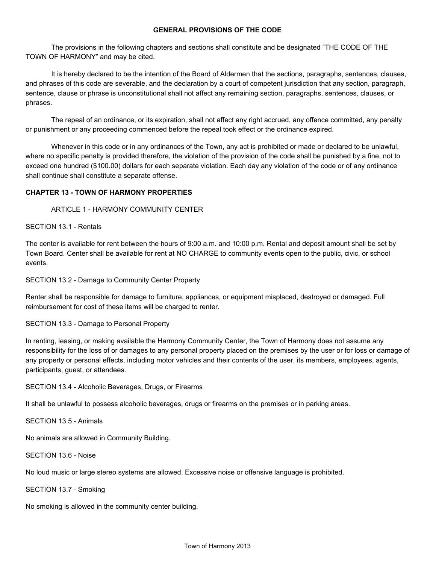## **GENERAL PROVISIONS OF THE CODE**

The provisions in the following chapters and sections shall constitute and be designated "THE CODE OF THE TOWN OF HARMONY" and may be cited.

It is hereby declared to be the intention of the Board of Aldermen that the sections, paragraphs, sentences, clauses, and phrases of this code are severable, and the declaration by a court of competent jurisdiction that any section, paragraph, sentence, clause or phrase is unconstitutional shall not affect any remaining section, paragraphs, sentences, clauses, or phrases.

The repeal of an ordinance, or its expiration, shall not affect any right accrued, any offence committed, any penalty or punishment or any proceeding commenced before the repeal took effect or the ordinance expired.

Whenever in this code or in any ordinances of the Town, any act is prohibited or made or declared to be unlawful, where no specific penalty is provided therefore, the violation of the provision of the code shall be punished by a fine, not to exceed one hundred (\$100.00) dollars for each separate violation. Each day any violation of the code or of any ordinance shall continue shall constitute a separate offense.

# **CHAPTER 13 TOWN OF HARMONY PROPERTIES**

ARTICLE 1 - HARMONY COMMUNITY CENTER

# SECTION 13.1 - Rentals

The center is available for rent between the hours of 9:00 a.m. and 10:00 p.m. Rental and deposit amount shall be set by Town Board. Center shall be available for rent at NO CHARGE to community events open to the public, civic, or school events.

SECTION 13.2 - Damage to Community Center Property

Renter shall be responsible for damage to furniture, appliances, or equipment misplaced, destroyed or damaged. Full reimbursement for cost of these items will be charged to renter.

SECTION 13.3 - Damage to Personal Property

In renting, leasing, or making available the Harmony Community Center, the Town of Harmony does not assume any responsibility for the loss of or damages to any personal property placed on the premises by the user or for loss or damage of any property or personal effects, including motor vehicles and their contents of the user, its members, employees, agents, participants, guest, or attendees.

SECTION 13.4 Alcoholic Beverages, Drugs, or Firearms

It shall be unlawful to possess alcoholic beverages, drugs or firearms on the premises or in parking areas.

SECTION 13.5 - Animals

No animals are allowed in Community Building.

SECTION 13.6 - Noise

No loud music or large stereo systems are allowed. Excessive noise or offensive language is prohibited.

SECTION 13.7 - Smoking

No smoking is allowed in the community center building.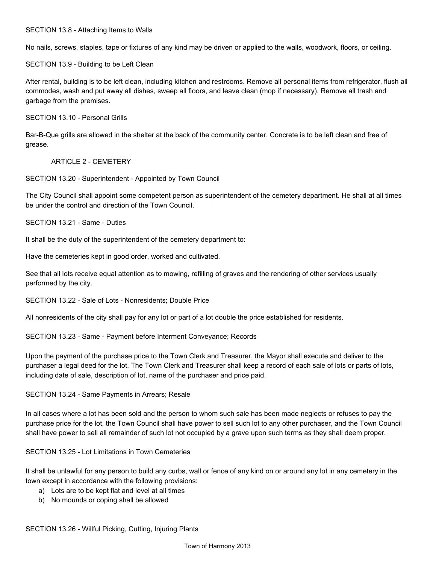## SECTION 13.8 - Attaching Items to Walls

No nails, screws, staples, tape or fixtures of any kind may be driven or applied to the walls, woodwork, floors, or ceiling.

SECTION 13.9 - Building to be Left Clean

After rental, building is to be left clean, including kitchen and restrooms. Remove all personal items from refrigerator, flush all commodes, wash and put away all dishes, sweep all floors, and leave clean (mop if necessary). Remove all trash and garbage from the premises.

SECTION 13.10 - Personal Grills

Bar-B-Que grills are allowed in the shelter at the back of the community center. Concrete is to be left clean and free of grease.

ARTICLE 2 CEMETERY

SECTION 13.20 - Superintendent - Appointed by Town Council

The City Council shall appoint some competent person as superintendent of the cemetery department. He shall at all times be under the control and direction of the Town Council.

SECTION 13.21 - Same - Duties

It shall be the duty of the superintendent of the cemetery department to:

Have the cemeteries kept in good order, worked and cultivated.

See that all lots receive equal attention as to mowing, refilling of graves and the rendering of other services usually performed by the city.

SECTION 13.22 - Sale of Lots - Nonresidents; Double Price

All nonresidents of the city shall pay for any lot or part of a lot double the price established for residents.

SECTION 13.23 - Same - Payment before Interment Conveyance; Records

Upon the payment of the purchase price to the Town Clerk and Treasurer, the Mayor shall execute and deliver to the purchaser a legal deed for the lot. The Town Clerk and Treasurer shall keep a record of each sale of lots or parts of lots, including date of sale, description of lot, name of the purchaser and price paid.

## SECTION 13.24 - Same Payments in Arrears; Resale

In all cases where a lot has been sold and the person to whom such sale has been made neglects or refuses to pay the purchase price for the lot, the Town Council shall have power to sell such lot to any other purchaser, and the Town Council shall have power to sell all remainder of such lot not occupied by a grave upon such terms as they shall deem proper.

SECTION 13.25 - Lot Limitations in Town Cemeteries

It shall be unlawful for any person to build any curbs, wall or fence of any kind on or around any lot in any cemetery in the town except in accordance with the following provisions:

- a) Lots are to be kept flat and level at all times
- b) No mounds or coping shall be allowed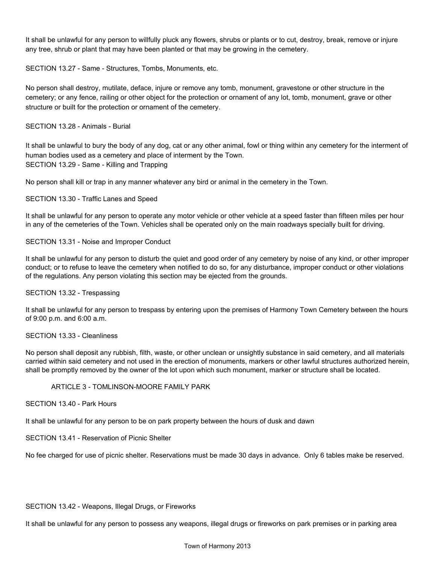It shall be unlawful for any person to willfully pluck any flowers, shrubs or plants or to cut, destroy, break, remove or injure any tree, shrub or plant that may have been planted or that may be growing in the cemetery.

SECTION 13.27 - Same - Structures, Tombs, Monuments, etc.

No person shall destroy, mutilate, deface, injure or remove any tomb, monument, gravestone or other structure in the cemetery; or any fence, railing or other object for the protection or ornament of any lot, tomb, monument, grave or other structure or built for the protection or ornament of the cemetery.

SECTION 13.28 - Animals - Burial

It shall be unlawful to bury the body of any dog, cat or any other animal, fowl or thing within any cemetery for the interment of human bodies used as a cemetery and place of interment by the Town. SECTION 13.29 - Same - Killing and Trapping

No person shall kill or trap in any manner whatever any bird or animal in the cemetery in the Town.

SECTION 13.30 - Traffic Lanes and Speed

It shall be unlawful for any person to operate any motor vehicle or other vehicle at a speed faster than fifteen miles per hour in any of the cemeteries of the Town. Vehicles shall be operated only on the main roadways specially built for driving.

SECTION 13.31 - Noise and Improper Conduct

It shall be unlawful for any person to disturb the quiet and good order of any cemetery by noise of any kind, or other improper conduct; or to refuse to leave the cemetery when notified to do so, for any disturbance, improper conduct or other violations of the regulations. Any person violating this section may be ejected from the grounds.

SECTION 13.32 - Trespassing

It shall be unlawful for any person to trespass by entering upon the premises of Harmony Town Cemetery between the hours of 9:00 p.m. and 6:00 a.m.

#### SECTION 13.33 - Cleanliness

No person shall deposit any rubbish, filth, waste, or other unclean or unsightly substance in said cemetery, and all materials carried within said cemetery and not used in the erection of monuments, markers or other lawful structures authorized herein, shall be promptly removed by the owner of the lot upon which such monument, marker or structure shall be located.

#### ARTICLE 3 - TOMLINSON-MOORE FAMILY PARK

SECTION 13.40 - Park Hours

It shall be unlawful for any person to be on park property between the hours of dusk and dawn

SECTION 13.41 - Reservation of Picnic Shelter

No fee charged for use of picnic shelter. Reservations must be made 30 days in advance. Only 6 tables make be reserved.

# SECTION 13.42 - Weapons, Illegal Drugs, or Fireworks

It shall be unlawful for any person to possess any weapons, illegal drugs or fireworks on park premises or in parking area